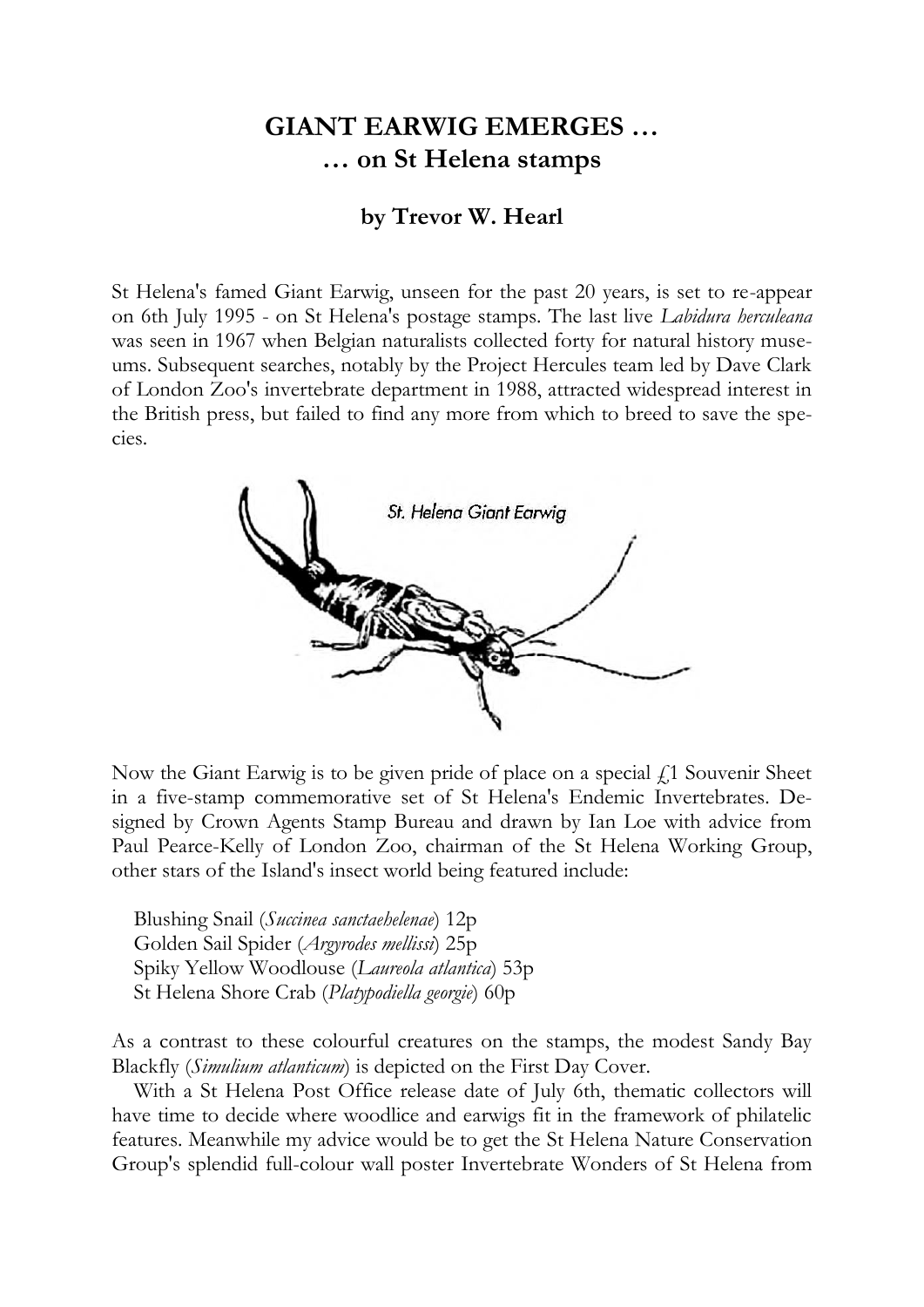## **GIANT EARWIG EMERGES … … on St Helena stamps**

## **by Trevor W. Hearl**

St Helena's famed Giant Earwig, unseen for the past 20 years, is set to re-appear on 6th July 1995 - on St Helena's postage stamps. The last live *Labidura herculeana* was seen in 1967 when Belgian naturalists collected forty for natural history museums. Subsequent searches, notably by the Project Hercules team led by Dave Clark of London Zoo's invertebrate department in 1988, attracted widespread interest in the British press, but failed to find any more from which to breed to save the species.



Now the Giant Earwig is to be given pride of place on a special  $f_1$  Souvenir Sheet in a five-stamp commemorative set of St Helena's Endemic Invertebrates. Designed by Crown Agents Stamp Bureau and drawn by Ian Loe with advice from Paul Pearce-Kelly of London Zoo, chairman of the St Helena Working Group, other stars of the Island's insect world being featured include:

Blushing Snail (*Succinea sanctaehelenae*) 12p Golden Sail Spider (*Argyrodes mellissi*) 25p Spiky Yellow Woodlouse (*Laureola atlantica*) 53p St Helena Shore Crab (*Platypodiella georgie*) 60p

As a contrast to these colourful creatures on the stamps, the modest Sandy Bay Blackfly (*Simulium atlanticum*) is depicted on the First Day Cover.

With a St Helena Post Office release date of July 6th, thematic collectors will have time to decide where woodlice and earwigs fit in the framework of philatelic features. Meanwhile my advice would be to get the St Helena Nature Conservation Group's splendid full-colour wall poster Invertebrate Wonders of St Helena from